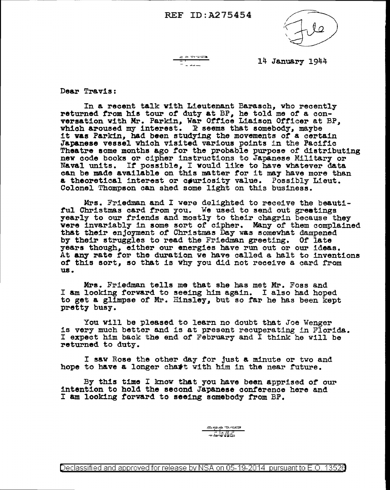## REF ID:A275454



 $\frac{25}{20}$ - 1<br>- 1. august

14 January 1944

Dear Travis:

In a recent talk with Lieutenant Barasch, vho recently returned from his tour *ot* duty at BP, he told me *ot* a conversation with Mr. Parkin, War Office Liaison Officer at BP, which aroused my interest. R seems that somebody, maybe it was Parkin, had been studying the movements of a certain Japanese vessel vhioh visited various points in the Pacific Theatre some months ago tor the probable purpose of distributing nev code books or cipher instructions to Japanese Military or Naval units. It possible, I would like to have whatever data can be made available on this matter for it may have more than a theoretical interest or couriosity value. Possibly Lieut. Colonel Thompson can shed some light on this business.

Mrs. Friedman and I were delighted to receive the beauti-<br>ful Christmas card from you. We used to send out greatings yearly to our friends and mostly to their chagrin because they were invariably in some sort of cipher. Many of them complained which invariably in some complete somewhat dampened<br>by their struggles to read the Friedman greeting. Of late years though, either our energies have run out or our ideas. At any rate for the duration we have called a halt to inventions of this sort, so that is why you did not receive a card from us.

Mrs. Friedman tells me that she has met Mr. Foss and <sup>I</sup>am looking forward to seeing him again. I also had hoped to get a glimpse of Mr. Hinsley, but so far he has been kept pretty busy.

You will be pleased to learn no doubt that Joe Wenger is very much better and is at present recuperating in Florida. I expect him back the end of February and I think he will be returned to duty.

I sav Rose the other day for just a minute or two and hope to have a longer chast with him in the near future.

By this time I know that you have been apprised of our intention to hold the second Japanese conference here and I am looking forward to seeing somebody trom BP.

> $\forall x \in \mathcal{Y} \text{ and } \exists y \in \mathcal{Y}$ \_...;..JDJlitS

Declassified and approved for release by NSA on 05-19-2014 pursuantto E .0. 1352a